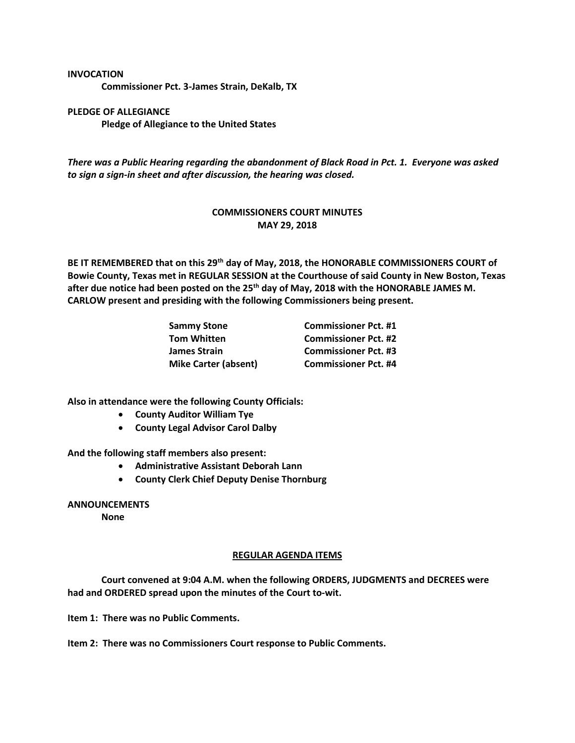## **INVOCATION**

**Commissioner Pct. 3-James Strain, DeKalb, TX**

## **PLEDGE OF ALLEGIANCE Pledge of Allegiance to the United States**

*There was a Public Hearing regarding the abandonment of Black Road in Pct. 1. Everyone was asked to sign a sign-in sheet and after discussion, the hearing was closed.*

## **COMMISSIONERS COURT MINUTES MAY 29, 2018**

**BE IT REMEMBERED that on this 29th day of May, 2018, the HONORABLE COMMISSIONERS COURT of Bowie County, Texas met in REGULAR SESSION at the Courthouse of said County in New Boston, Texas after due notice had been posted on the 25th day of May, 2018 with the HONORABLE JAMES M. CARLOW present and presiding with the following Commissioners being present.**

| <b>Commissioner Pct. #1</b> |
|-----------------------------|
| <b>Commissioner Pct. #2</b> |
| <b>Commissioner Pct. #3</b> |
| <b>Commissioner Pct. #4</b> |
|                             |

**Also in attendance were the following County Officials:**

- **County Auditor William Tye**
- **County Legal Advisor Carol Dalby**

**And the following staff members also present:**

- **Administrative Assistant Deborah Lann**
- **County Clerk Chief Deputy Denise Thornburg**

**ANNOUNCEMENTS**

**None**

## **REGULAR AGENDA ITEMS**

**Court convened at 9:04 A.M. when the following ORDERS, JUDGMENTS and DECREES were had and ORDERED spread upon the minutes of the Court to-wit.**

**Item 1: There was no Public Comments.**

**Item 2: There was no Commissioners Court response to Public Comments.**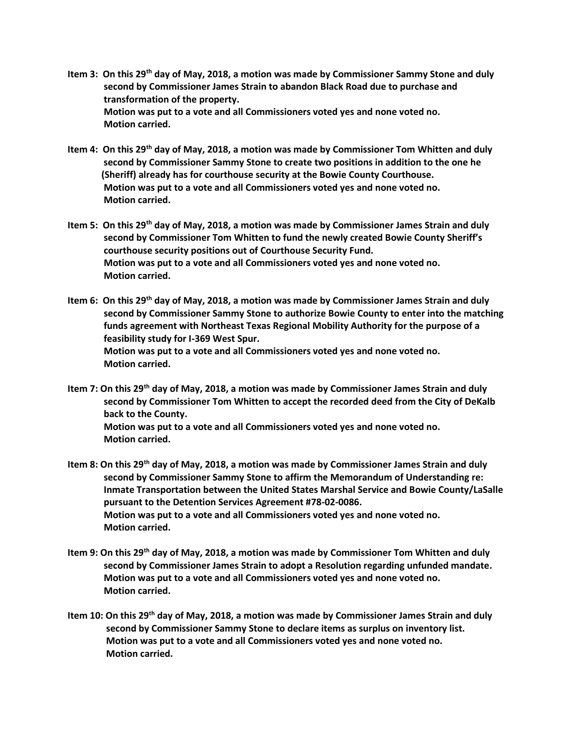- **Item 3: On this 29th day of May, 2018, a motion was made by Commissioner Sammy Stone and duly second by Commissioner James Strain to abandon Black Road due to purchase and transformation of the property. Motion was put to a vote and all Commissioners voted yes and none voted no. Motion carried.**
- **Item 4: On this 29th day of May, 2018, a motion was made by Commissioner Tom Whitten and duly second by Commissioner Sammy Stone to create two positions in addition to the one he (Sheriff) already has for courthouse security at the Bowie County Courthouse. Motion was put to a vote and all Commissioners voted yes and none voted no. Motion carried.**
- **Item 5: On this 29th day of May, 2018, a motion was made by Commissioner James Strain and duly second by Commissioner Tom Whitten to fund the newly created Bowie County Sheriff's courthouse security positions out of Courthouse Security Fund. Motion was put to a vote and all Commissioners voted yes and none voted no. Motion carried.**
- **Item 6: On this 29th day of May, 2018, a motion was made by Commissioner James Strain and duly second by Commissioner Sammy Stone to authorize Bowie County to enter into the matching funds agreement with Northeast Texas Regional Mobility Authority for the purpose of a feasibility study for I-369 West Spur. Motion was put to a vote and all Commissioners voted yes and none voted no. Motion carried.**
- **Item 7: On this 29th day of May, 2018, a motion was made by Commissioner James Strain and duly second by Commissioner Tom Whitten to accept the recorded deed from the City of DeKalb back to the County. Motion was put to a vote and all Commissioners voted yes and none voted no. Motion carried.**
- **Item 8: On this 29th day of May, 2018, a motion was made by Commissioner James Strain and duly second by Commissioner Sammy Stone to affirm the Memorandum of Understanding re: Inmate Transportation between the United States Marshal Service and Bowie County/LaSalle pursuant to the Detention Services Agreement #78-02-0086. Motion was put to a vote and all Commissioners voted yes and none voted no. Motion carried.**
- **Item 9: On this 29th day of May, 2018, a motion was made by Commissioner Tom Whitten and duly second by Commissioner James Strain to adopt a Resolution regarding unfunded mandate. Motion was put to a vote and all Commissioners voted yes and none voted no. Motion carried.**
- **Item 10: On this 29th day of May, 2018, a motion was made by Commissioner James Strain and duly second by Commissioner Sammy Stone to declare items as surplus on inventory list. Motion was put to a vote and all Commissioners voted yes and none voted no. Motion carried.**